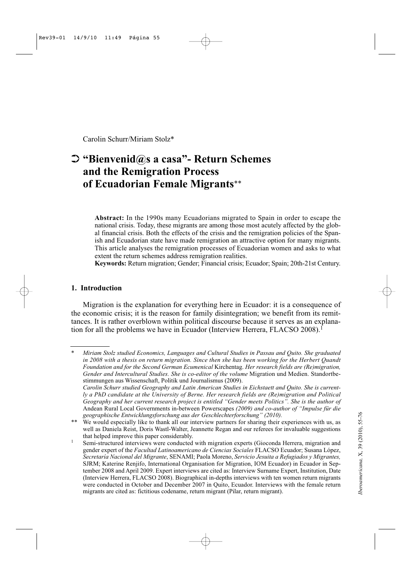# ➲ **"Bienvenid@s a casa"- Return Schemes and the Remigration Process of Ecuadorian Female Migrants**\*\*

**Abstract:** In the 1990s many Ecuadorians migrated to Spain in order to escape the national crisis. Today, these migrants are among those most acutely affected by the global financial crisis. Both the effects of the crisis and the remigration policies of the Spanish and Ecuadorian state have made remigration an attractive option for many migrants. This article analyses the remigration processes of Ecuadorian women and asks to what extent the return schemes address remigration realities.

**Keywords:** Return migration; Gender; Financial crisis; Ecuador; Spain; 20th-21st Century.

# **1. Introduction**

Migration is the explanation for everything here in Ecuador: it is a consequence of the economic crisis; it is the reason for family disintegration; we benefit from its remittances. It is rather overblown within political discourse because it serves as an explanation for all the problems we have in Ecuador (Interview Herrera, FLACSO 2008).<sup>1</sup>

<sup>\*</sup> *Miriam Stolz studied Economics, Languages and Cultural Studies in Passau and Quito. She graduated in 2008 with a thesis on return migration. Since then she has been working for the Herbert Quandt Foundation and for the Second German Ecumenical* Kirchentag. *Her research fields are (Re)migration, Gender and Intercultural Studies. She is co-editor of the volume* Migration und Medien. Standortbestimmungen aus Wissenschaft, Politik und Journalismus (2009).

*Carolin Schurr studied Geography and Latin American Studies in Eichstaett and Quito. She is currently a PhD candidate at the University of Berne. Her research fields are (Re)migration and Political Geography and her current research project is entitled "Gender meets Politics". She is the author of* Andean Rural Local Governments in-between Powerscapes *(2009) and co-author of "Impulse für die geographische Entwicklungsforschung aus der Geschlechterforschung" (2010).*

<sup>\*\*</sup> We would especially like to thank all our interview partners for sharing their experiences with us, as well as Daniela Reist, Doris Wastl-Walter, Jeannette Regan and our referees for invaluable suggestions that helped improve this paper considerably.

<sup>1</sup> Semi-structured interviews were conducted with migration experts (Gioconda Herrera, migration and gender expert of the *Facultad Latinoamericano de Ciencias Sociales* FLACSO Ecuador; Susana López, *Secretaría Nacional del Migrante*, SENAMI; Paola Moreno, *Servicio Jesuita a Refugiados y Migrantes,* SJRM; Katerine Renjifo, International Organisation for Migration, IOM Ecuador) in Ecuador in September 2008 and April 2009. Expert interviews are cited as: Interview Surname Expert, Institution, Date (Interview Herrera, FLACSO 2008). Biographical in-depths interviews with ten women return migrants were conducted in October and December 2007 in Quito, Ecuador. Interviews with the female return migrants are cited as: fictitious codename, return migrant (Pilar, return migrant).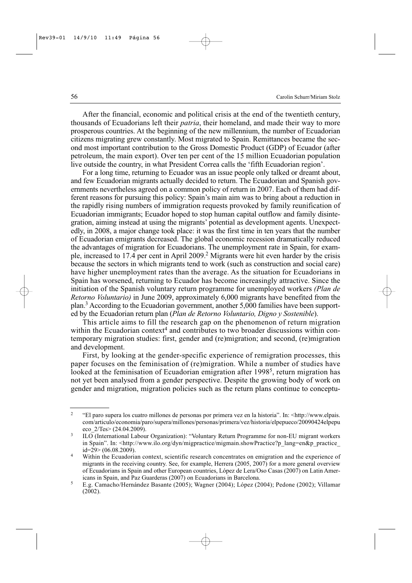After the financial, economic and political crisis at the end of the twentieth century, thousands of Ecuadorians left their *patria*, their homeland, and made their way to more prosperous countries. At the beginning of the new millennium, the number of Ecuadorian citizens migrating grew constantly. Most migrated to Spain. Remittances became the second most important contribution to the Gross Domestic Product (GDP) of Ecuador (after petroleum, the main export). Over ten per cent of the 15 million Ecuadorian population live outside the country, in what President Correa calls the 'fifth Ecuadorian region'.

For a long time, returning to Ecuador was an issue people only talked or dreamt about, and few Ecuadorian migrants actually decided to return. The Ecuadorian and Spanish governments nevertheless agreed on a common policy of return in 2007. Each of them had different reasons for pursuing this policy: Spain's main aim was to bring about a reduction in the rapidly rising numbers of immigration requests provoked by family reunification of Ecuadorian immigrants; Ecuador hoped to stop human capital outflow and family disintegration, aiming instead at using the migrants' potential as development agents. Unexpectedly, in 2008, a major change took place: it was the first time in ten years that the number of Ecuadorian emigrants decreased. The global economic recession dramatically reduced the advantages of migration for Ecuadorians. The unemployment rate in Spain, for example, increased to 17.4 per cent in April 2009.2 Migrants were hit even harder by the crisis because the sectors in which migrants tend to work (such as construction and social care) have higher unemployment rates than the average. As the situation for Ecuadorians in Spain has worsened, returning to Ecuador has become increasingly attractive. Since the initiation of the Spanish voluntary return programme for unemployed workers *(Plan de Retorno Voluntario)* in June 2009, approximately 6,000 migrants have benefited from the plan.3 According to the Ecuadorian government, another 5,000 families have been supported by the Ecuadorian return plan (*Plan de Retorno Voluntario, Digno y Sostenible*).

This article aims to fill the research gap on the phenomenon of return migration within the Ecuadorian context<sup>4</sup> and contributes to two broader discussions within contemporary migration studies: first, gender and (re)migration; and second, (re)migration and development.

First, by looking at the gender-specific experience of remigration processes, this paper focuses on the feminisation of (re)migration. While a number of studies have looked at the feminisation of Ecuadorian emigration after 1998<sup>5</sup>, return migration has not yet been analysed from a gender perspective. Despite the growing body of work on gender and migration, migration policies such as the return plans continue to conceptu-

<sup>2</sup> "El paro supera los cuatro millones de personas por primera vez en la historia". In: <http://www.elpais. com/articulo/economia/paro/supera/millones/personas/primera/vez/historia/elpepueco/20090424elpepu eco\_2/Tes> (24.04.2009).

<sup>&</sup>lt;sup>3</sup> ILO (International Labour Organization): "Voluntary Return Programme for non-EU migrant workers in Spain". In: <http://www.ilo.org/dyn/migpractice/migmain.showPractice?p\_lang=en&p\_practice\_ id=29> (06.08.2009).

Within the Ecuadorian context, scientific research concentrates on emigration and the experience of migrants in the receiving country. See, for example, Herrera (2005, 2007) for a more general overview of Ecuadorians in Spain and other European countries, López de Lera/Oso Casas (2007) on Latin Americans in Spain, and Paz Guarderas (2007) on Ecuadorians in Barcelona.

<sup>5</sup> E.g. Camacho/Hernández Basante (2005); Wagner (2004); López (2004); Pedone (2002); Villamar (2002).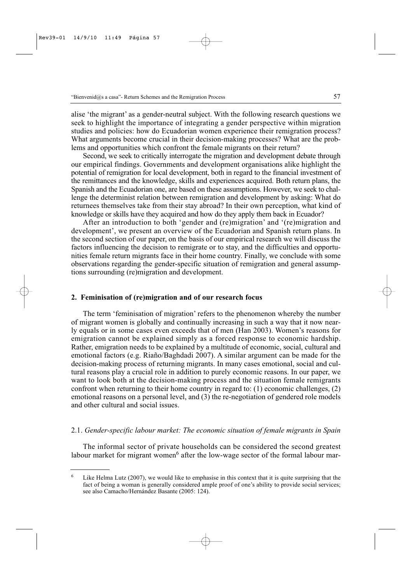alise 'the migrant' as a gender-neutral subject. With the following research questions we seek to highlight the importance of integrating a gender perspective within migration studies and policies: how do Ecuadorian women experience their remigration process? What arguments become crucial in their decision-making processes? What are the problems and opportunities which confront the female migrants on their return?

Second, we seek to critically interrogate the migration and development debate through our empirical findings. Governments and development organisations alike highlight the potential of remigration for local development, both in regard to the financial investment of the remittances and the knowledge, skills and experiences acquired. Both return plans, the Spanish and the Ecuadorian one, are based on these assumptions. However, we seek to challenge the determinist relation between remigration and development by asking: What do returnees themselves take from their stay abroad? In their own perception, what kind of knowledge or skills have they acquired and how do they apply them back in Ecuador?

After an introduction to both 'gender and (re)migration' and '(re)migration and development', we present an overview of the Ecuadorian and Spanish return plans. In the second section of our paper, on the basis of our empirical research we will discuss the factors influencing the decision to remigrate or to stay, and the difficulties and opportunities female return migrants face in their home country. Finally, we conclude with some observations regarding the gender-specific situation of remigration and general assumptions surrounding (re)migration and development.

# **2. Feminisation of (re)migration and of our research focus**

The term 'feminisation of migration' refers to the phenomenon whereby the number of migrant women is globally and continually increasing in such a way that it now nearly equals or in some cases even exceeds that of men (Han 2003). Women's reasons for emigration cannot be explained simply as a forced response to economic hardship. Rather, emigration needs to be explained by a multitude of economic, social, cultural and emotional factors (e.g. Riaño/Baghdadi 2007). A similar argument can be made for the decision-making process of returning migrants. In many cases emotional, social and cultural reasons play a crucial role in addition to purely economic reasons. In our paper, we want to look both at the decision-making process and the situation female remigrants confront when returning to their home country in regard to: (1) economic challenges, (2) emotional reasons on a personal level, and (3) the re-negotiation of gendered role models and other cultural and social issues.

# 2.1. *Gender-specific labour market: The economic situation of female migrants in Spain*

The informal sector of private households can be considered the second greatest labour market for migrant women<sup>6</sup> after the low-wage sector of the formal labour mar-

Like Helma Lutz (2007), we would like to emphasise in this context that it is quite surprising that the fact of being a woman is generally considered ample proof of one's ability to provide social services; see also Camacho/Hernández Basante (2005: 124).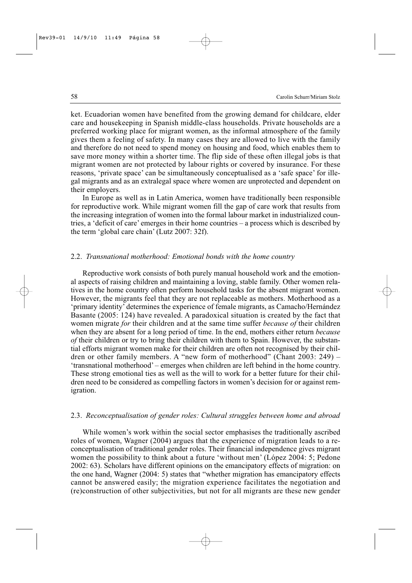ket. Ecuadorian women have benefited from the growing demand for childcare, elder care and housekeeping in Spanish middle-class households. Private households are a preferred working place for migrant women, as the informal atmosphere of the family gives them a feeling of safety. In many cases they are allowed to live with the family and therefore do not need to spend money on housing and food, which enables them to save more money within a shorter time. The flip side of these often illegal jobs is that migrant women are not protected by labour rights or covered by insurance. For these reasons, 'private space' can be simultaneously conceptualised as a 'safe space' for illegal migrants and as an extralegal space where women are unprotected and dependent on their employers.

In Europe as well as in Latin America, women have traditionally been responsible for reproductive work. While migrant women fill the gap of care work that results from the increasing integration of women into the formal labour market in industrialized countries, a 'deficit of care' emerges in their home countries – a process which is described by the term 'global care chain' (Lutz 2007: 32f).

## 2.2. *Transnational motherhood: Emotional bonds with the home country*

Reproductive work consists of both purely manual household work and the emotional aspects of raising children and maintaining a loving, stable family. Other women relatives in the home country often perform household tasks for the absent migrant women. However, the migrants feel that they are not replaceable as mothers. Motherhood as a 'primary identity' determines the experience of female migrants, as Camacho/Hernández Basante (2005: 124) have revealed. A paradoxical situation is created by the fact that women migrate *for* their children and at the same time suffer *because of* their children when they are absent for a long period of time. In the end, mothers either return *because of* their children or try to bring their children with them to Spain. However, the substantial efforts migrant women make for their children are often not recognised by their children or other family members. A "new form of motherhood" (Chant 2003: 249) – 'transnational motherhood' – emerges when children are left behind in the home country. These strong emotional ties as well as the will to work for a better future for their children need to be considered as compelling factors in women's decision for or against remigration.

# 2.3. *Reconceptualisation of gender roles: Cultural struggles between home and abroad*

While women's work within the social sector emphasises the traditionally ascribed roles of women, Wagner (2004) argues that the experience of migration leads to a reconceptualisation of traditional gender roles. Their financial independence gives migrant women the possibility to think about a future 'without men' (López 2004: 5; Pedone 2002: 63). Scholars have different opinions on the emancipatory effects of migration: on the one hand, Wagner (2004: 5) states that "whether migration has emancipatory effects cannot be answered easily; the migration experience facilitates the negotiation and (re)construction of other subjectivities, but not for all migrants are these new gender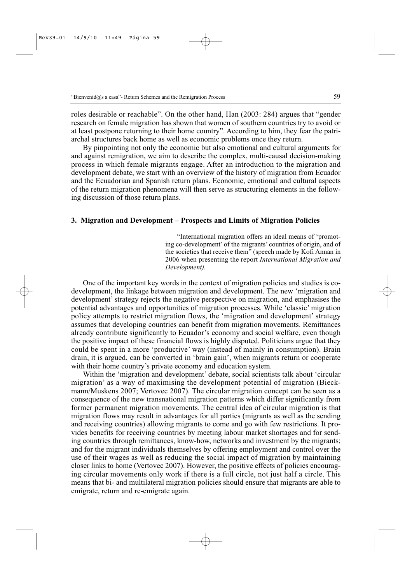roles desirable or reachable". On the other hand, Han (2003: 284) argues that "gender research on female migration has shown that women of southern countries try to avoid or at least postpone returning to their home country". According to him, they fear the patriarchal structures back home as well as economic problems once they return.

By pinpointing not only the economic but also emotional and cultural arguments for and against remigration, we aim to describe the complex, multi-causal decision-making process in which female migrants engage. After an introduction to the migration and development debate, we start with an overview of the history of migration from Ecuador and the Ecuadorian and Spanish return plans. Economic, emotional and cultural aspects of the return migration phenomena will then serve as structuring elements in the following discussion of those return plans.

#### **3. Migration and Development – Prospects and Limits of Migration Policies**

"International migration offers an ideal means of 'promoting co-development' of the migrants' countries of origin, and of the societies that receive them" (speech made by Kofi Annan in 2006 when presenting the report *International Migration and Development).* 

One of the important key words in the context of migration policies and studies is codevelopment, the linkage between migration and development. The new 'migration and development' strategy rejects the negative perspective on migration, and emphasises the potential advantages and opportunities of migration processes. While 'classic' migration policy attempts to restrict migration flows, the 'migration and development' strategy assumes that developing countries can benefit from migration movements. Remittances already contribute significantly to Ecuador's economy and social welfare, even though the positive impact of these financial flows is highly disputed. Politicians argue that they could be spent in a more 'productive' way (instead of mainly in consumption). Brain drain, it is argued, can be converted in 'brain gain', when migrants return or cooperate with their home country's private economy and education system.

Within the 'migration and development' debate, social scientists talk about 'circular migration' as a way of maximising the development potential of migration (Bieckmann/Muskens 2007; Vertovec 2007). The circular migration concept can be seen as a consequence of the new transnational migration patterns which differ significantly from former permanent migration movements. The central idea of circular migration is that migration flows may result in advantages for all parties (migrants as well as the sending and receiving countries) allowing migrants to come and go with few restrictions. It provides benefits for receiving countries by meeting labour market shortages and for sending countries through remittances, know-how, networks and investment by the migrants; and for the migrant individuals themselves by offering employment and control over the use of their wages as well as reducing the social impact of migration by maintaining closer links to home (Vertovec 2007). However, the positive effects of policies encouraging circular movements only work if there is a full circle, not just half a circle. This means that bi- and multilateral migration policies should ensure that migrants are able to emigrate, return and re-emigrate again.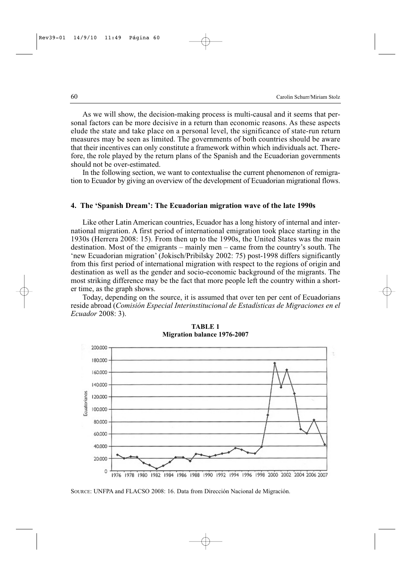As we will show, the decision-making process is multi-causal and it seems that personal factors can be more decisive in a return than economic reasons. As these aspects elude the state and take place on a personal level, the significance of state-run return measures may be seen as limited. The governments of both countries should be aware that their incentives can only constitute a framework within which individuals act. Therefore, the role played by the return plans of the Spanish and the Ecuadorian governments should not be over-estimated.

In the following section, we want to contextualise the current phenomenon of remigration to Ecuador by giving an overview of the development of Ecuadorian migrational flows.

#### **4. The 'Spanish Dream': The Ecuadorian migration wave of the late 1990s**

Like other Latin American countries, Ecuador has a long history of internal and international migration. A first period of international emigration took place starting in the 1930s (Herrera 2008: 15). From then up to the 1990s, the United States was the main destination. Most of the emigrants – mainly men – came from the country's south. The 'new Ecuadorian migration' (Jokisch/Pribilsky 2002: 75) post-1998 differs significantly from this first period of international migration with respect to the regions of origin and destination as well as the gender and socio-economic background of the migrants. The most striking difference may be the fact that more people left the country within a shorter time, as the graph shows.

Today, depending on the source, it is assumed that over ten per cent of Ecuadorians reside abroad (*Comisión Especial Interinstitucional de Estadísticas de Migraciones en el Ecuador* 2008: 3).



**TABLE 1 Migration balance 1976-2007**

SOURCE: UNFPA and FLACSO 2008: 16. Data from Dirección Nacional de Migración.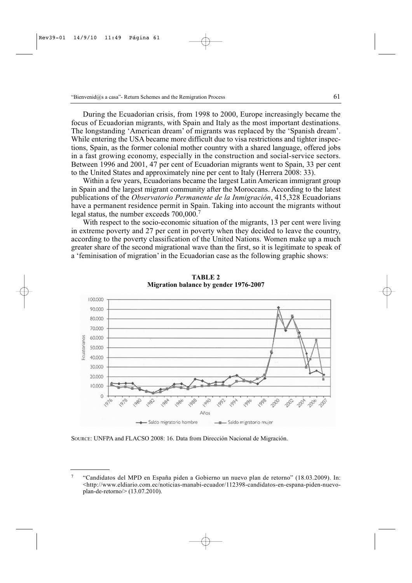During the Ecuadorian crisis, from 1998 to 2000, Europe increasingly became the focus of Ecuadorian migrants, with Spain and Italy as the most important destinations. The longstanding 'American dream' of migrants was replaced by the 'Spanish dream'. While entering the USA became more difficult due to visa restrictions and tighter inspections, Spain, as the former colonial mother country with a shared language, offered jobs in a fast growing economy, especially in the construction and social-service sectors. Between 1996 and 2001, 47 per cent of Ecuadorian migrants went to Spain, 33 per cent to the United States and approximately nine per cent to Italy (Herrera 2008: 33).

Within a few years, Ecuadorians became the largest Latin American immigrant group in Spain and the largest migrant community after the Moroccans. According to the latest publications of the *Observatorio Permanente de la Inmigración*, 415,328 Ecuadorians have a permanent residence permit in Spain. Taking into account the migrants without legal status, the number exceeds 700,000.7

With respect to the socio-economic situation of the migrants, 13 per cent were living in extreme poverty and 27 per cent in poverty when they decided to leave the country, according to the poverty classification of the United Nations. Women make up a much greater share of the second migrational wave than the first, so it is legitimate to speak of a 'feminisation of migration' in the Ecuadorian case as the following graphic shows:



**TABLE 2 Migration balance by gender 1976-2007**

SOURCE: UNFPA and FLACSO 2008: 16. Data from Dirección Nacional de Migración.

<sup>7</sup> "Candidatos del MPD en España piden a Gobierno un nuevo plan de retorno" (18.03.2009). In: <http://www.eldiario.com.ec/noticias-manabi-ecuador/112398-candidatos-en-espana-piden-nuevoplan-de-retorno/> (13.07.2010).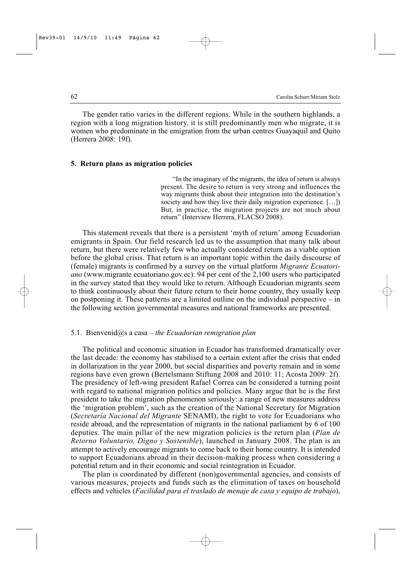The gender ratio varies in the different regions. While in the southern highlands, a region with a long migration history, it is still predominantly men who migrate, it is women who predominate in the emigration from the urban centres Guayaquil and Quito (Herrera 2008: 19f).

# **5. Return plans as migration policies**

"In the imaginary of the migrants, the idea of return is always present. The desire to return is very strong and influences the way migrants think about their integration into the destination's society and how they live their daily migration experience. [...]) But, in practice, the migration projects are not much about return" (Interview Herrera, FLACSO 2008).

This statement reveals that there is a persistent 'myth of return' among Ecuadorian emigrants in Spain. Our field research led us to the assumption that many talk about return, but there were relatively few who actually considered return as a viable option before the global crisis. That return is an important topic within the daily discourse of (female) migrants is confirmed by a survey on the virtual platform *Migrante Ecuatoriano* (www.migrante ecuatoriano.gov.ec): 94 per cent of the 2,100 users who participated in the survey stated that they would like to return. Although Ecuadorian migrants seem to think continuously about their future return to their home country, they usually keep on postponing it. These patterns are a limited outline on the individual perspective – in the following section governmental measures and national frameworks are presented.

# 5.1. Bienvenid@s a casa *– the Ecuadorian remigration plan*

The political and economic situation in Ecuador has transformed dramatically over the last decade: the economy has stabilised to a certain extent after the crisis that ended in dollarization in the year 2000, but social disparities and poverty remain and in some regions have even grown (Bertelsmann Stiftung 2008 and 2010: 11; Acosta 2009: 2f). The presidency of left-wing president Rafael Correa can be considered a turning point with regard to national migration politics and policies. Many argue that he is the first president to take the migration phenomenon seriously: a range of new measures address the 'migration problem', such as the creation of the National Secretary for Migration (*Secretaría Nacional del Migrante* SENAMI), the right to vote for Ecuadorians who reside abroad, and the representation of migrants in the national parliament by 6 of 100 deputies. The main pillar of the new migration policies is the return plan (*Plan de Retorno Voluntario, Digno y Sostenible*), launched in January 2008. The plan is an attempt to actively encourage migrants to come back to their home country. It is intended to support Ecuadorians abroad in their decision-making process when considering a potential return and in their economic and social reintegration in Ecuador.

The plan is coordinated by different (non)governmental agencies, and consists of various measures, projects and funds such as the elimination of taxes on household effects and vehicles (*Facilidad para el traslado de menaje de casa y equipo de trabajo*),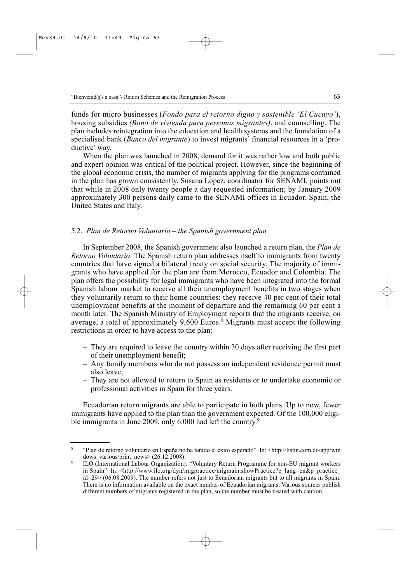funds for micro businesses (*Fondo para el retorno digno y sostenible 'El Cucayo'*), housing subsidies *(Bono de vivienda para personas migrantes)*, and counselling. The plan includes reintegration into the education and health systems and the foundation of a specialised bank (*Banco del migrante*) to invest migrants' financial resources in a 'productive' way.

When the plan was launched in 2008, demand for it was rather low and both public and expert opinion was critical of the political project. However, since the beginning of the global economic crisis, the number of migrants applying for the programs contained in the plan has grown consistently. Susana López, coordinator for SENAMI, points out that while in 2008 only twenty people a day requested information; by January 2009 approximately 300 persons daily came to the SENAMI offices in Ecuador, Spain, the United States and Italy.

# 5.2. *Plan de Retorno Voluntario – the Spanish government plan*

In September 2008, the Spanish government also launched a return plan, the *Plan de Retorno Voluntario*. The Spanish return plan addresses itself to immigrants from twenty countries that have signed a bilateral treaty on social security. The majority of immigrants who have applied for the plan are from Morocco, Ecuador and Colombia. The plan offers the possibility for legal immigrants who have been integrated into the formal Spanish labour market to receive all their unemployment benefits in two stages when they voluntarily return to their home countries: they receive 40 per cent of their total unemployment benefits at the moment of departure and the remaining 60 per cent a month later. The Spanish Ministry of Employment reports that the migrants receive, on average, a total of approximately 9,600 Euros.<sup>8</sup> Migrants must accept the following restrictions in order to have access to the plan:

- They are required to leave the country within 30 days after receiving the first part of their unemployment benefit;
- Any family members who do not possess an independent residence permit must also leave;
- They are not allowed to return to Spain as residents or to undertake economic or professional activities in Spain for three years.

Ecuadorian return migrants are able to participate in both plans. Up to now, fewer immigrants have applied to the plan than the government expected. Of the 100,000 eligible immigrants in June 2009, only 6,000 had left the country.<sup>9</sup>

<sup>8</sup> "Plan de retorno voluntario en España no ha tenido el éxito esperado". In: <http://listin.com.do/app/win dows\_various/print\_news> (26.12.2008).

<sup>9</sup> ILO (International Labour Organization): "Voluntary Return Programme for non-EU migrant workers in Spain". In: <http://www.ilo.org/dyn/migpractice/migmain.showPractice?p\_lang=en&p\_practice\_ id=29> (06.08.2009). The number refers not just to Ecuadorian migrants but to all migrants in Spain. There is no information available on the exact number of Ecuadorian migrants. Various sources publish different numbers of migrants registered in the plan, so the number must be treated with caution.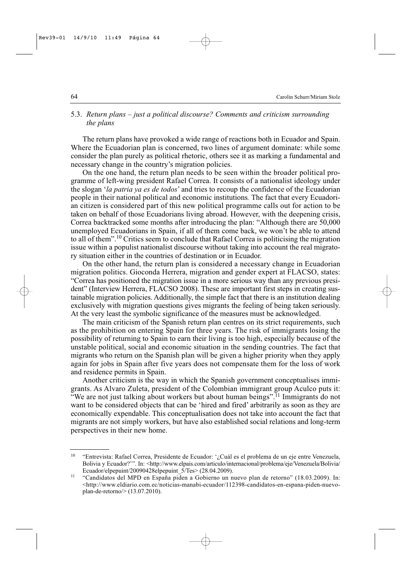# 5.3. *Return plans – just a political discourse? Comments and criticism surrounding the plans*

The return plans have provoked a wide range of reactions both in Ecuador and Spain. Where the Ecuadorian plan is concerned, two lines of argument dominate: while some consider the plan purely as political rhetoric, others see it as marking a fundamental and necessary change in the country's migration policies.

On the one hand, the return plan needs to be seen within the broader political programme of left-wing president Rafael Correa. It consists of a nationalist ideology under the slogan '*la patria ya es de todos*' and tries to recoup the confidence of the Ecuadorian people in their national political and economic institutions*.* The fact that every Ecuadorian citizen is considered part of this new political programme calls out for action to be taken on behalf of those Ecuadorians living abroad. However, with the deepening crisis, Correa backtracked some months after introducing the plan: "Although there are 50,000 unemployed Ecuadorians in Spain, if all of them come back, we won't be able to attend to all of them".10 Critics seem to conclude that Rafael Correa is politicising the migration issue within a populist nationalist discourse without taking into account the real migratory situation either in the countries of destination or in Ecuador.

On the other hand, the return plan is considered a necessary change in Ecuadorian migration politics. Gioconda Herrera, migration and gender expert at FLACSO, states: "Correa has positioned the migration issue in a more serious way than any previous president" (Interview Herrera, FLACSO 2008). These are important first steps in creating sustainable migration policies. Additionally, the simple fact that there is an institution dealing exclusively with migration questions gives migrants the feeling of being taken seriously. At the very least the symbolic significance of the measures must be acknowledged.

The main criticism of the Spanish return plan centres on its strict requirements, such as the prohibition on entering Spain for three years. The risk of immigrants losing the possibility of returning to Spain to earn their living is too high, especially because of the unstable political, social and economic situation in the sending countries. The fact that migrants who return on the Spanish plan will be given a higher priority when they apply again for jobs in Spain after five years does not compensate them for the loss of work and residence permits in Spain.

Another criticism is the way in which the Spanish government conceptualises immigrants. As Alvaro Zuleta, president of the Colombian immigrant group Aculco puts it: We are not just talking about workers but about human beings".<sup>11</sup> Immigrants do not want to be considered objects that can be 'hired and fired' arbitrarily as soon as they are economically expendable. This conceptualisation does not take into account the fact that migrants are not simply workers, but have also established social relations and long-term perspectives in their new home.

<sup>&</sup>lt;sup>10</sup> "Entrevista: Rafael Correa, Presidente de Ecuador: '¿Cuál es el problema de un eje entre Venezuela, Bolivia y Ecuador?'". In: <http://www.elpais.com/articulo/internacional/problema/eje/Venezuela/Bolivia/ Ecuador/elpepuint/20090428elpepuint\_5/Tes> (28.04.2009).

<sup>&</sup>quot;Candidatos del MPD en España piden a Gobierno un nuevo plan de retorno" (18.03.2009). In: <http://www.eldiario.com.ec/noticias-manabi-ecuador/112398-candidatos-en-espana-piden-nuevoplan-de-retorno/> (13.07.2010).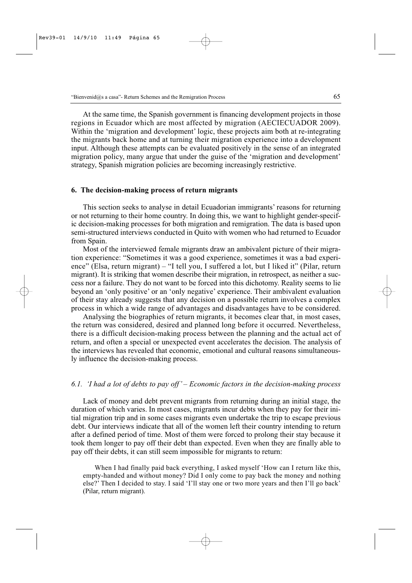At the same time, the Spanish government is financing development projects in those regions in Ecuador which are most affected by migration (AECIECUADOR 2009). Within the 'migration and development' logic, these projects aim both at re-integrating the migrants back home and at turning their migration experience into a development input. Although these attempts can be evaluated positively in the sense of an integrated migration policy, many argue that under the guise of the 'migration and development' strategy, Spanish migration policies are becoming increasingly restrictive.

# **6. The decision-making process of return migrants**

This section seeks to analyse in detail Ecuadorian immigrants' reasons for returning or not returning to their home country. In doing this, we want to highlight gender-specific decision-making processes for both migration and remigration. The data is based upon semi-structured interviews conducted in Quito with women who had returned to Ecuador from Spain.

Most of the interviewed female migrants draw an ambivalent picture of their migration experience: "Sometimes it was a good experience, sometimes it was a bad experience" (Elsa, return migrant) – "I tell you, I suffered a lot, but I liked it" (Pilar, return migrant). It is striking that women describe their migration, in retrospect, as neither a success nor a failure. They do not want to be forced into this dichotomy. Reality seems to lie beyond an 'only positive' or an 'only negative' experience. Their ambivalent evaluation of their stay already suggests that any decision on a possible return involves a complex process in which a wide range of advantages and disadvantages have to be considered.

Analysing the biographies of return migrants, it becomes clear that, in most cases, the return was considered, desired and planned long before it occurred. Nevertheless, there is a difficult decision-making process between the planning and the actual act of return, and often a special or unexpected event accelerates the decision. The analysis of the interviews has revealed that economic, emotional and cultural reasons simultaneously influence the decision-making process.

### *6.1. 'I had a lot of debts to pay off' – Economic factors in the decision-making process*

Lack of money and debt prevent migrants from returning during an initial stage, the duration of which varies. In most cases, migrants incur debts when they pay for their initial migration trip and in some cases migrants even undertake the trip to escape previous debt. Our interviews indicate that all of the women left their country intending to return after a defined period of time. Most of them were forced to prolong their stay because it took them longer to pay off their debt than expected. Even when they are finally able to pay off their debts, it can still seem impossible for migrants to return:

When I had finally paid back everything, I asked myself 'How can I return like this, empty-handed and without money? Did I only come to pay back the money and nothing else?' Then I decided to stay. I said 'I'll stay one or two more years and then I'll go back' (Pilar, return migrant).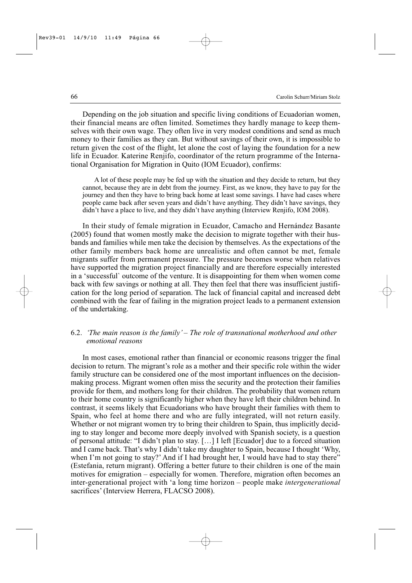Depending on the job situation and specific living conditions of Ecuadorian women, their financial means are often limited. Sometimes they hardly manage to keep themselves with their own wage. They often live in very modest conditions and send as much money to their families as they can. But without savings of their own, it is impossible to return given the cost of the flight, let alone the cost of laying the foundation for a new life in Ecuador. Katerine Renjifo, coordinator of the return programme of the International Organisation for Migration in Quito (IOM Ecuador), confirms:

A lot of these people may be fed up with the situation and they decide to return, but they cannot, because they are in debt from the journey. First, as we know, they have to pay for the journey and then they have to bring back home at least some savings. I have had cases where people came back after seven years and didn't have anything. They didn't have savings, they didn't have a place to live, and they didn't have anything (Interview Renjifo, IOM 2008).

In their study of female migration in Ecuador, Camacho and Hernández Basante (2005) found that women mostly make the decision to migrate together with their husbands and families while men take the decision by themselves. As the expectations of the other family members back home are unrealistic and often cannot be met, female migrants suffer from permanent pressure. The pressure becomes worse when relatives have supported the migration project financially and are therefore especially interested in a 'successful` outcome of the venture. It is disappointing for them when women come back with few savings or nothing at all. They then feel that there was insufficient justification for the long period of separation. The lack of financial capital and increased debt combined with the fear of failing in the migration project leads to a permanent extension of the undertaking.

# 6.2. *'The main reason is the family' – The role of transnational motherhood and other emotional reasons*

In most cases, emotional rather than financial or economic reasons trigger the final decision to return. The migrant's role as a mother and their specific role within the wider family structure can be considered one of the most important influences on the decisionmaking process. Migrant women often miss the security and the protection their families provide for them, and mothers long for their children. The probability that women return to their home country is significantly higher when they have left their children behind. In contrast, it seems likely that Ecuadorians who have brought their families with them to Spain, who feel at home there and who are fully integrated, will not return easily. Whether or not migrant women try to bring their children to Spain, thus implicitly deciding to stay longer and become more deeply involved with Spanish society, is a question of personal attitude: "I didn't plan to stay. […] I left [Ecuador] due to a forced situation and I came back. That's why I didn't take my daughter to Spain, because I thought 'Why, when I'm not going to stay?' And if I had brought her, I would have had to stay there" (Estefania, return migrant). Offering a better future to their children is one of the main motives for emigration – especially for women. Therefore, migration often becomes an inter-generational project with 'a long time horizon – people make *intergenerational* sacrifices' (Interview Herrera, FLACSO 2008).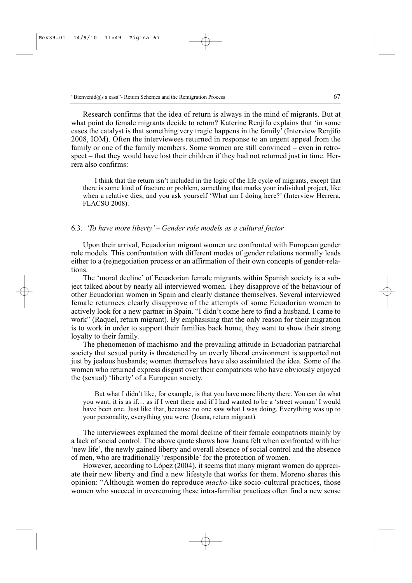Research confirms that the idea of return is always in the mind of migrants. But at what point do female migrants decide to return? Katerine Renjifo explains that 'in some cases the catalyst is that something very tragic happens in the family' (Interview Renjifo 2008, IOM). Often the interviewees returned in response to an urgent appeal from the family or one of the family members. Some women are still convinced – even in retrospect – that they would have lost their children if they had not returned just in time. Herrera also confirms:

I think that the return isn't included in the logic of the life cycle of migrants, except that there is some kind of fracture or problem, something that marks your individual project, like when a relative dies, and you ask yourself 'What am I doing here?' (Interview Herrera, FLACSO 2008).

# 6.3. *'To have more liberty' – Gender role models as a cultural factor*

Upon their arrival, Ecuadorian migrant women are confronted with European gender role models. This confrontation with different modes of gender relations normally leads either to a (re)negotiation process or an affirmation of their own concepts of gender-relations.

The 'moral decline' of Ecuadorian female migrants within Spanish society is a subject talked about by nearly all interviewed women. They disapprove of the behaviour of other Ecuadorian women in Spain and clearly distance themselves. Several interviewed female returnees clearly disapprove of the attempts of some Ecuadorian women to actively look for a new partner in Spain. "I didn't come here to find a husband. I came to work" (Raquel, return migrant). By emphasising that the only reason for their migration is to work in order to support their families back home, they want to show their strong loyalty to their family.

The phenomenon of machismo and the prevailing attitude in Ecuadorian patriarchal society that sexual purity is threatened by an overly liberal environment is supported not just by jealous husbands; women themselves have also assimilated the idea. Some of the women who returned express disgust over their compatriots who have obviously enjoyed the (sexual) 'liberty' of a European society.

But what I didn't like, for example, is that you have more liberty there. You can do what you want, it is as if… as if I went there and if I had wanted to be a 'street woman' I would have been one. Just like that, because no one saw what I was doing. Everything was up to your personality, everything you were. (Joana, return migrant).

The interviewees explained the moral decline of their female compatriots mainly by a lack of social control. The above quote shows how Joana felt when confronted with her 'new life', the newly gained liberty and overall absence of social control and the absence of men, who are traditionally 'responsible' for the protection of women.

However, according to López (2004), it seems that many migrant women do appreciate their new liberty and find a new lifestyle that works for them. Moreno shares this opinion: "Although women do reproduce *macho*-like socio-cultural practices, those women who succeed in overcoming these intra-familiar practices often find a new sense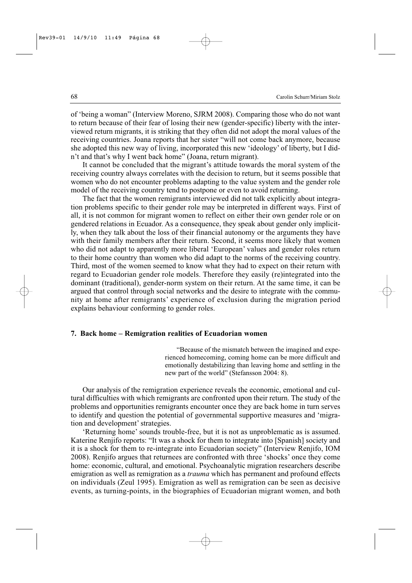of 'being a woman" (Interview Moreno, SJRM 2008). Comparing those who do not want to return because of their fear of losing their new (gender-specific) liberty with the interviewed return migrants, it is striking that they often did not adopt the moral values of the receiving countries. Joana reports that her sister "will not come back anymore, because she adopted this new way of living, incorporated this new 'ideology' of liberty, but I didn't and that's why I went back home" (Joana, return migrant).

It cannot be concluded that the migrant's attitude towards the moral system of the receiving country always correlates with the decision to return, but it seems possible that women who do not encounter problems adapting to the value system and the gender role model of the receiving country tend to postpone or even to avoid returning.

The fact that the women remigrants interviewed did not talk explicitly about integration problems specific to their gender role may be interpreted in different ways. First of all, it is not common for migrant women to reflect on either their own gender role or on gendered relations in Ecuador. As a consequence, they speak about gender only implicitly, when they talk about the loss of their financial autonomy or the arguments they have with their family members after their return. Second, it seems more likely that women who did not adapt to apparently more liberal 'European' values and gender roles return to their home country than women who did adapt to the norms of the receiving country. Third, most of the women seemed to know what they had to expect on their return with regard to Ecuadorian gender role models. Therefore they easily (re)integrated into the dominant (traditional), gender-norm system on their return. At the same time, it can be argued that control through social networks and the desire to integrate with the community at home after remigrants' experience of exclusion during the migration period explains behaviour conforming to gender roles.

#### **7. Back home – Remigration realities of Ecuadorian women**

"Because of the mismatch between the imagined and experienced homecoming, coming home can be more difficult and emotionally destabilizing than leaving home and settling in the new part of the world" (Stefansson 2004: 8).

Our analysis of the remigration experience reveals the economic, emotional and cultural difficulties with which remigrants are confronted upon their return. The study of the problems and opportunities remigrants encounter once they are back home in turn serves to identify and question the potential of governmental supportive measures and 'migration and development' strategies.

'Returning home' sounds trouble-free, but it is not as unproblematic as is assumed. Katerine Renjifo reports: "It was a shock for them to integrate into [Spanish] society and it is a shock for them to re-integrate into Ecuadorian society" (Interview Renjifo, IOM 2008). Renjifo argues that returnees are confronted with three 'shocks' once they come home: economic, cultural, and emotional. Psychoanalytic migration researchers describe emigration as well as remigration as a *trauma* which has permanent and profound effects on individuals (Zeul 1995). Emigration as well as remigration can be seen as decisive events, as turning-points, in the biographies of Ecuadorian migrant women, and both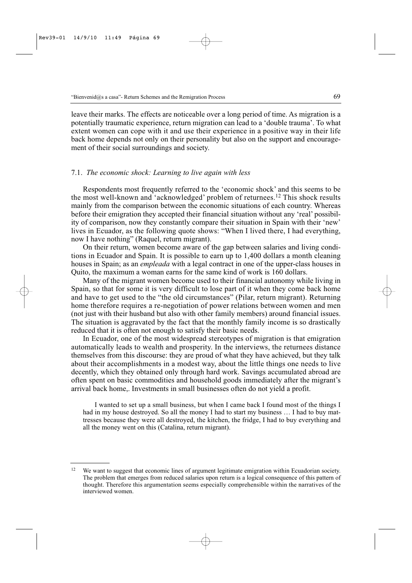leave their marks. The effects are noticeable over a long period of time. As migration is a potentially traumatic experience, return migration can lead to a 'double trauma'. To what extent women can cope with it and use their experience in a positive way in their life back home depends not only on their personality but also on the support and encouragement of their social surroundings and society.

# 7.1. *The economic shock: Learning to live again with less*

Respondents most frequently referred to the 'economic shock' and this seems to be the most well-known and 'acknowledged' problem of returnees.<sup>12</sup> This shock results mainly from the comparison between the economic situations of each country. Whereas before their emigration they accepted their financial situation without any 'real' possibility of comparison, now they constantly compare their situation in Spain with their 'new' lives in Ecuador, as the following quote shows: "When I lived there, I had everything, now I have nothing" (Raquel, return migrant).

On their return, women become aware of the gap between salaries and living conditions in Ecuador and Spain. It is possible to earn up to 1,400 dollars a month cleaning houses in Spain; as an *empleada* with a legal contract in one of the upper-class houses in Quito, the maximum a woman earns for the same kind of work is 160 dollars.

Many of the migrant women become used to their financial autonomy while living in Spain, so that for some it is very difficult to lose part of it when they come back home and have to get used to the "the old circumstances" (Pilar, return migrant). Returning home therefore requires a re-negotiation of power relations between women and men (not just with their husband but also with other family members) around financial issues. The situation is aggravated by the fact that the monthly family income is so drastically reduced that it is often not enough to satisfy their basic needs.

In Ecuador, one of the most widespread stereotypes of migration is that emigration automatically leads to wealth and prosperity. In the interviews, the returnees distance themselves from this discourse: they are proud of what they have achieved, but they talk about their accomplishments in a modest way, about the little things one needs to live decently, which they obtained only through hard work. Savings accumulated abroad are often spent on basic commodities and household goods immediately after the migrant's arrival back home,. Investments in small businesses often do not yield a profit.

I wanted to set up a small business, but when I came back I found most of the things I had in my house destroyed. So all the money I had to start my business … I had to buy mattresses because they were all destroyed, the kitchen, the fridge, I had to buy everything and all the money went on this (Catalina, return migrant).

We want to suggest that economic lines of argument legitimate emigration within Ecuadorian society. The problem that emerges from reduced salaries upon return is a logical consequence of this pattern of thought. Therefore this argumentation seems especially comprehensible within the narratives of the interviewed women.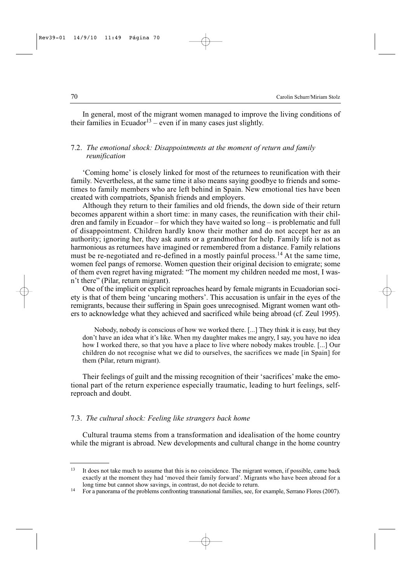In general, most of the migrant women managed to improve the living conditions of their families in Ecuador<sup>13</sup> – even if in many cases just slightly.

# 7.2. *The emotional shock: Disappointments at the moment of return and family reunification*

'Coming home' is closely linked for most of the returnees to reunification with their family. Nevertheless, at the same time it also means saying goodbye to friends and sometimes to family members who are left behind in Spain. New emotional ties have been created with compatriots, Spanish friends and employers.

Although they return to their families and old friends, the down side of their return becomes apparent within a short time: in many cases, the reunification with their children and family in Ecuador – for which they have waited so long – is problematic and full of disappointment. Children hardly know their mother and do not accept her as an authority; ignoring her, they ask aunts or a grandmother for help. Family life is not as harmonious as returnees have imagined or remembered from a distance. Family relations must be re-negotiated and re-defined in a mostly painful process.<sup>14</sup> At the same time, women feel pangs of remorse. Women question their original decision to emigrate; some of them even regret having migrated: "The moment my children needed me most, I wasn't there" (Pilar, return migrant).

One of the implicit or explicit reproaches heard by female migrants in Ecuadorian society is that of them being 'uncaring mothers'. This accusation is unfair in the eyes of the remigrants, because their suffering in Spain goes unrecognised. Migrant women want others to acknowledge what they achieved and sacrificed while being abroad (cf. Zeul 1995).

Nobody, nobody is conscious of how we worked there. [...] They think it is easy, but they don't have an idea what it's like. When my daughter makes me angry, I say, you have no idea how I worked there, so that you have a place to live where nobody makes trouble. [...] Our children do not recognise what we did to ourselves, the sacrifices we made [in Spain] for them (Pilar, return migrant).

Their feelings of guilt and the missing recognition of their 'sacrifices' make the emotional part of the return experience especially traumatic, leading to hurt feelings, selfreproach and doubt.

#### 7.3. *The cultural shock: Feeling like strangers back home*

Cultural trauma stems from a transformation and idealisation of the home country while the migrant is abroad. New developments and cultural change in the home country

<sup>&</sup>lt;sup>13</sup> It does not take much to assume that this is no coincidence. The migrant women, if possible, came back exactly at the moment they had 'moved their family forward'. Migrants who have been abroad for a long time but cannot show savings, in contrast, do not decide to return.

<sup>14</sup> For a panorama of the problems confronting transnational families, see, for example, Serrano Flores (2007).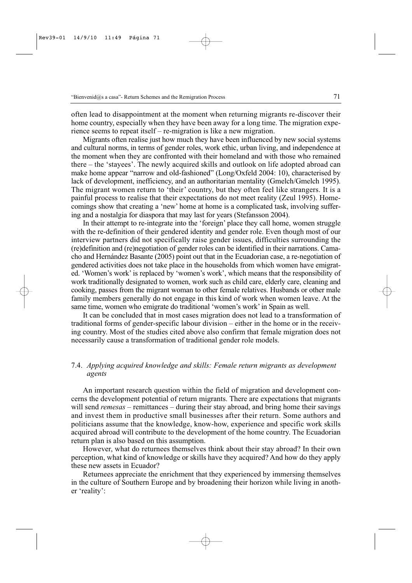often lead to disappointment at the moment when returning migrants re-discover their home country, especially when they have been away for a long time. The migration experience seems to repeat itself – re-migration is like a new migration.

Migrants often realise just how much they have been influenced by new social systems and cultural norms, in terms of gender roles, work ethic, urban living, and independence at the moment when they are confronted with their homeland and with those who remained there – the 'stayees'. The newly acquired skills and outlook on life adopted abroad can make home appear "narrow and old-fashioned" (Long/Oxfeld 2004: 10), characterised by lack of development, inefficiency, and an authoritarian mentality (Gmelch/Gmelch 1995). The migrant women return to 'their' country, but they often feel like strangers. It is a painful process to realise that their expectations do not meet reality (Zeul 1995). Homecomings show that creating a 'new' home at home is a complicated task, involving suffering and a nostalgia for diaspora that may last for years (Stefansson 2004).

In their attempt to re-integrate into the 'foreign' place they call home, women struggle with the re-definition of their gendered identity and gender role. Even though most of our interview partners did not specifically raise gender issues, difficulties surrounding the (re)definition and (re)negotiation of gender roles can be identified in their narrations. Camacho and Hernández Basante (2005) point out that in the Ecuadorian case, a re-negotiation of gendered activities does not take place in the households from which women have emigrated. 'Women's work' is replaced by 'women's work', which means that the responsibility of work traditionally designated to women, work such as child care, elderly care, cleaning and cooking, passes from the migrant woman to other female relatives. Husbands or other male family members generally do not engage in this kind of work when women leave. At the same time, women who emigrate do traditional 'women's work' in Spain as well.

It can be concluded that in most cases migration does not lead to a transformation of traditional forms of gender-specific labour division – either in the home or in the receiving country. Most of the studies cited above also confirm that female migration does not necessarily cause a transformation of traditional gender role models.

# 7.4. *Applying acquired knowledge and skills: Female return migrants as development agents*

An important research question within the field of migration and development concerns the development potential of return migrants. There are expectations that migrants will send *remesas* – remittances – during their stay abroad, and bring home their savings and invest them in productive small businesses after their return. Some authors and politicians assume that the knowledge, know-how, experience and specific work skills acquired abroad will contribute to the development of the home country. The Ecuadorian return plan is also based on this assumption.

However, what do returnees themselves think about their stay abroad? In their own perception, what kind of knowledge or skills have they acquired? And how do they apply these new assets in Ecuador?

Returnees appreciate the enrichment that they experienced by immersing themselves in the culture of Southern Europe and by broadening their horizon while living in another 'reality':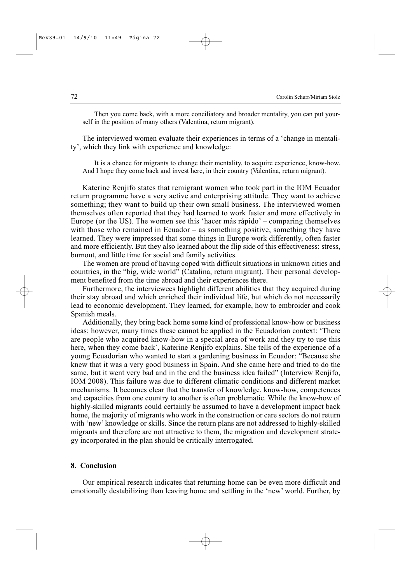Then you come back, with a more conciliatory and broader mentality, you can put yourself in the position of many others (Valentina, return migrant).

The interviewed women evaluate their experiences in terms of a 'change in mentality', which they link with experience and knowledge:

It is a chance for migrants to change their mentality, to acquire experience, know-how. And I hope they come back and invest here, in their country (Valentina, return migrant).

Katerine Renjifo states that remigrant women who took part in the IOM Ecuador return programme have a very active and enterprising attitude. They want to achieve something; they want to build up their own small business. The interviewed women themselves often reported that they had learned to work faster and more effectively in Europe (or the US). The women see this 'hacer más rápido' – comparing themselves with those who remained in Ecuador – as something positive, something they have learned. They were impressed that some things in Europe work differently, often faster and more efficiently. But they also learned about the flip side of this effectiveness: stress, burnout, and little time for social and family activities.

The women are proud of having coped with difficult situations in unknown cities and countries, in the "big, wide world" (Catalina, return migrant). Their personal development benefited from the time abroad and their experiences there.

Furthermore, the interviewees highlight different abilities that they acquired during their stay abroad and which enriched their individual life, but which do not necessarily lead to economic development. They learned, for example, how to embroider and cook Spanish meals.

Additionally, they bring back home some kind of professional know-how or business ideas; however, many times these cannot be applied in the Ecuadorian context: 'There are people who acquired know-how in a special area of work and they try to use this here, when they come back', Katerine Renjifo explains. She tells of the experience of a young Ecuadorian who wanted to start a gardening business in Ecuador: "Because she knew that it was a very good business in Spain. And she came here and tried to do the same, but it went very bad and in the end the business idea failed" (Interview Renjifo, IOM 2008). This failure was due to different climatic conditions and different market mechanisms. It becomes clear that the transfer of knowledge, know-how, competences and capacities from one country to another is often problematic. While the know-how of highly-skilled migrants could certainly be assumed to have a development impact back home, the majority of migrants who work in the construction or care sectors do not return with 'new' knowledge or skills. Since the return plans are not addressed to highly-skilled migrants and therefore are not attractive to them, the migration and development strategy incorporated in the plan should be critically interrogated.

# **8. Conclusion**

Our empirical research indicates that returning home can be even more difficult and emotionally destabilizing than leaving home and settling in the 'new' world. Further, by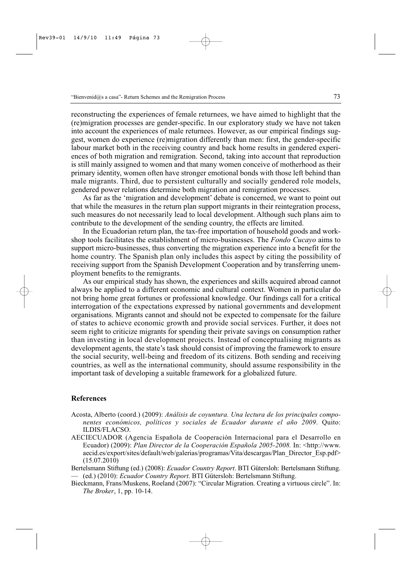reconstructing the experiences of female returnees, we have aimed to highlight that the (re)migration processes are gender-specific. In our exploratory study we have not taken into account the experiences of male returnees. However, as our empirical findings suggest, women do experience (re)migration differently than men: first, the gender-specific labour market both in the receiving country and back home results in gendered experiences of both migration and remigration. Second, taking into account that reproduction is still mainly assigned to women and that many women conceive of motherhood as their primary identity, women often have stronger emotional bonds with those left behind than male migrants. Third, due to persistent culturally and socially gendered role models, gendered power relations determine both migration and remigration processes.

As far as the 'migration and development' debate is concerned, we want to point out that while the measures in the return plan support migrants in their reintegration process, such measures do not necessarily lead to local development. Although such plans aim to contribute to the development of the sending country, the effects are limited.

In the Ecuadorian return plan, the tax-free importation of household goods and workshop tools facilitates the establishment of micro-businesses. The *Fondo Cucayo* aims to support micro-businesses, thus converting the migration experience into a benefit for the home country. The Spanish plan only includes this aspect by citing the possibility of receiving support from the Spanish Development Cooperation and by transferring unemployment benefits to the remigrants.

As our empirical study has shown, the experiences and skills acquired abroad cannot always be applied to a different economic and cultural context. Women in particular do not bring home great fortunes or professional knowledge. Our findings call for a critical interrogation of the expectations expressed by national governments and development organisations. Migrants cannot and should not be expected to compensate for the failure of states to achieve economic growth and provide social services. Further, it does not seem right to criticize migrants for spending their private savings on consumption rather than investing in local development projects. Instead of conceptualising migrants as development agents, the state's task should consist of improving the framework to ensure the social security, well-being and freedom of its citizens. Both sending and receiving countries, as well as the international community, should assume responsibility in the important task of developing a suitable framework for a globalized future.

#### **References**

- Acosta, Alberto (coord.) (2009): *Análisis de coyuntura. Una lectura de los principales componentes económicos, políticos y sociales de Ecuador durante el año 2009*. Quito: ILDIS/FLACSO.
- AECIECUADOR (Agencia Española de Cooperación Internacional para el Desarrollo en Ecuador) (2009): *Plan Director de la Cooperación Española 2005-2008.* In: <http://www. aecid.es/export/sites/default/web/galerias/programas/Vita/descargas/Plan\_Director\_Esp.pdf> (15.07.2010)

Bertelsmann Stiftung (ed.) (2008): *Ecuador Country Report*. BTI Gütersloh: Bertelsmann Stiftung. — (ed.) (2010): *Ecuador Country Report*. BTI Gütersloh: Bertelsmann Stiftung.

Bieckmann, Frans/Muskens, Roeland (2007): "Circular Migration. Creating a virtuous circle". In: *The Broker*, 1, pp. 10-14.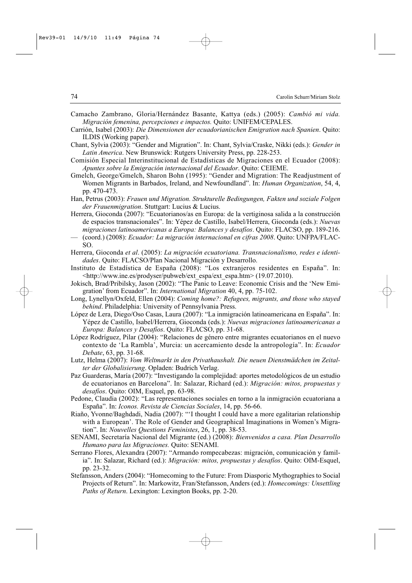- Camacho Zambrano, Gloria/Hernández Basante, Kattya (eds.) (2005): *Cambió mi vida. Migración femenina, percepciones e impactos.* Quito: UNIFEM/CEPALES.
- Carrión, Isabel (2003): *Die Dimensionen der ecuadorianischen Emigration nach Spanien*. Quito: ILDIS (Working paper).
- Chant, Sylvia (2003): "Gender and Migration". In: Chant, Sylvia/Craske, Nikki (eds.): *Gender in Latin America*. New Brunswick: Rutgers University Press, pp. 228-253.
- Comisión Especial Interinstitucional de Estadísticas de Migraciones en el Ecuador (2008): *Apuntes sobre la Emigración internacional del Ecuador*. Quito: CEIEME.
- Gmelch, George/Gmelch, Sharon Bohn (1995): "Gender and Migration: The Readjustment of Women Migrants in Barbados, Ireland, and Newfoundland". In: *Human Organization*, 54, 4, pp. 470-473.
- Han, Petrus (2003): *Frauen und Migration. Strukturelle Bedingungen, Fakten und soziale Folgen der Frauenmigration*. Stuttgart: Lucius & Lucius.
- Herrera, Gioconda (2007): "Ecuatorianos/as en Europa: de la vertiginosa salida a la construcción de espacios transnacionales". In: Yépez de Castillo, Isabel/Herrera, Gioconda (eds.): *Nuevas migraciones latinoamericanas a Europa: Balances y desafíos*. Quito: FLACSO, pp. 189-216.
- (coord.) (2008): *Ecuador: La migración internacional en cifras 2008*. Quito: UNFPA/FLAC-SO.
- Herrera, Gioconda *et al*. (2005): *La migración ecuatoriana. Transnacionalismo, redes e identidades*. Quito: FLACSO/Plan Nacional Migración y Desarrollo.
- Instituto de Estadística de España (2008): "Los extranjeros residentes en España". In: <http://www.ine.es/prodyser/pubweb/ext\_espa/ext\_espa.htm> (19.07.2010).
- Jokisch, Brad/Pribilsky, Jason (2002): "The Panic to Leave: Economic Crisis and the 'New Emigration' from Ecuador". In: *International Migration* 40, 4, pp. 75-102.
- Long, Lynellyn/Oxfeld, Ellen (2004): *Coming home?: Refugees, migrants, and those who stayed behind*. Philadelphia: University of Pennsylvania Press.
- López de Lera, Diego/Oso Casas, Laura (2007): "La inmigración latinoamericana en España". In: Yépez de Castillo, Isabel/Herrera, Gioconda (eds.): *Nuevas migraciones latinoamericanas a Europa: Balances y Desafíos*. Quito: FLACSO, pp. 31-68.
- López Rodríguez, Pilar (2004): "Relaciones de género entre migrantes ecuatorianos en el nuevo contexto de 'La Rambla', Murcia: un acercamiento desde la antropología". In: *Ecuador Debate*, 63, pp. 31-68.
- Lutz, Helma (2007): *Vom Weltmarkt in den Privathaushalt. Die neuen Dienstmädchen im Zeitalter der Globalisierung*. Opladen: Budrich Verlag.
- Paz Guarderas, María (2007): "Investigando la complejidad: aportes metodológicos de un estudio de ecuatorianos en Barcelona". In: Salazar, Richard (ed.): *Migración: mitos, propuestas y desafíos*. Quito: OIM, Esquel, pp. 63-98.
- Pedone, Claudia (2002): "Las representaciones sociales en torno a la inmigración ecuatoriana a España". In: *Iconos. Revista de Ciencias Sociales*, 14, pp. 56-66.
- Riaño, Yvonne/Baghdadi, Nadia (2007): "'I thought I could have a more egalitarian relationship with a European'. The Role of Gender and Geographical Imaginations in Women's Migration". In: *Nouvelles Questions Feministes*, 26, 1, pp. 38-53.
- SENAMI, Secretaría Nacional del Migrante (ed.) (2008): *Bienvenidos a casa. Plan Desarrollo Humano para las Migraciones.* Quito: SENAMI.
- Serrano Flores, Alexandra (2007): "Armando rompecabezas: migración, comunicación y familia". In: Salazar, Richard (ed.): *Migración: mitos, propuestas y desafíos*. Quito: OIM-Esquel, pp. 23-32.
- Stefansson, Anders (2004): "Homecoming to the Future: From Diasporic Mythographies to Social Projects of Return". In: Markowitz, Fran/Stefansson, Anders (ed.): *Homecomings: Unsettling Paths of Return*. Lexington: Lexington Books, pp. 2-20.